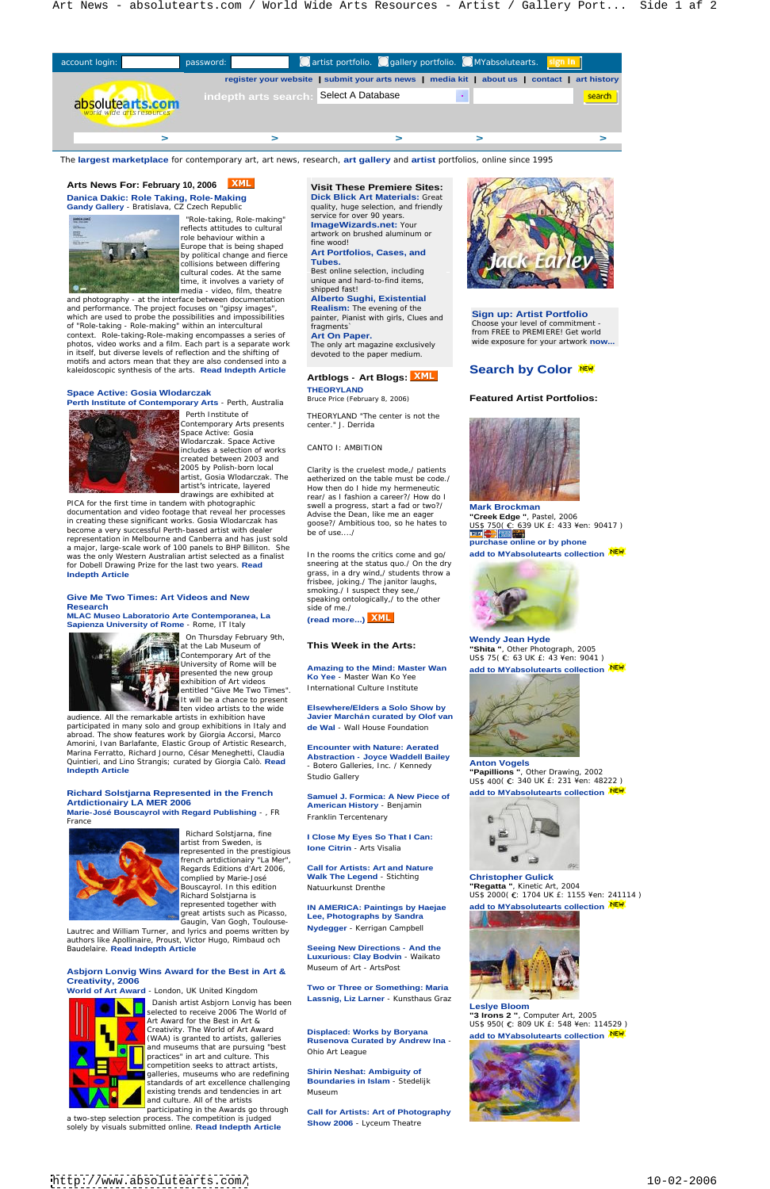**Gandy Gallery** - Bratislava, CZ Czech Republic



 "Role-taking, Role-making" reflects attitudes to cultural Europe that is being shaped fine wood! by political change and fierce<br>collisions between differing Tubes. collisions between differing cultural codes. At the same time, it involves a variety of unique and has media - video, film, theatre shipped fast! media - video, film, theatre

Contemporary Arts presents center." J. Derrida Wlodarczak. Space Active includes a selection of works created between 2003 and

PICA for the first time in tandem with photographic<br>desumentation and video feature that reveal has presences.<br>Results a progress, start a fad or two?/<br>Nark Brockman documentation and video footage that reveal her processes in creating these significant works. Gosia Wlodarczak has goose?/ Ambitious too, so he hates to become a very successful Perth-based artist with dealer be of use..../ representation in Melbourne and Canberra and has just sold<br>
purchase online or by phone a major, large-scale work of 100 panels to BHP Billiton. She<br>was the only Western Australian artist selected as a finalist limit the rooms the critics come and go/ was the only Western Australian artist selected as a finalist for Dobell Drawing Prize for the last two years. **Read Indepth Article Contained Article Contained Article in the students of the students of the students of the students of the students of the students of the students of the students of the students of the students of th** 

and photography - at the interface between documentation and performance. The project focuses on "gipsy images",<br>which are used to probe the possibilities and impossibilities and painter Pianist with girls Clues and **Sign up: Artist Portfolio** which are used to probe the possibilities and impossibilities of "Role-taking - Role-making" within an intercultural context. Role-taking-Role-making encompasses a series of Art On Paper. photos, video works and a film. Each part is a separate work in itself, but diverse levels of reflection and the shifting of motifs and actors mean that they are also condensed into a kaleidoscopic synthesis of the arts. **Read Indepth Article**

# **Space Active: Gosia Wlodarczak THEORYLAND**<br>**Borth Institute of Contemporary Arts** Borth Australia Bruce Price (February 8, 2006)

## **Give Me Two Times: Art Videos and New Research** and the state of the state of the state of the state of the state of the state of the state of the state of the state of the state of the state of the state of the state of the state of the state of the state of

audience. All the remarkable artists in exhibition have participated in many solo and group exhibitions in Italy and de Wal - Wall House Foundation abroad. The show features work by Giorgia Accorsi, Marco Amorini, Ivan Barlafante, Elastic Group of Artistic Research, Marina Ferratto, Richard Journo, César Meneghetti, Claudia Quintieri, and Lino Strangis; curated by Giorgia Calò. **Read Indepth Article Example 2002 Contract Contract Contract Contract Contract Contract Contract Contract Contract Contract Contract Contract Contract Contract Contract Contract Contract Contract Contract Contract Contract** 

**Perth Institute of Contemporary Arts** - Perth, Australia



artist from Sweden, is<br>represented in the prestigious **lone Citrin** - Arts Visalia represented in the prestigious french artdictionairy "La Mer", Regards Editions d'Art 2006,

Bouscayrol. In this edition **"Regatta "**, Kinetic Art, 2004 Richard Solstjarna is US\$ 2000( : 1704 UK £: 1155 ¥en: 241114 ) Natuurkunst Drenthe **Eric Communisties of the Separate T**. Kinetic Art, 2004

Danish artist Asbjorn Lonvig has been Lassnig, Liz Larner - Kunstnaus Graz selected to receive 2006 The World of<br>Art Award for the Best in Art & Creativity. The World of Art Award **Displaced: Works by Boryana** (WAA) is granted to artists, galleries and museums that are pursuing "best **that the contract of the process** ohio Art League practices" in art and culture. This competition seeks to attract artists, galleries, museums who are redefining **Shirin Neshat: Ambiguity of**<br>standards of art excellence challenging **Boundaries in Islam**-Stedelijk standards of art excellence challenging existing trends and tendencies in art and culture. All of the artists participating in the Awards go through

a two-step selection process. The competition is judged<br>sololy by visuals submitted online. **Pead Indenth Article** Show 2006 - Lyceum Theatre solely by visuals submitted online. **Read Indepth Article**

**MLAC Museo Laboratorio Arte Contemporanea, La Sapienza University of Rome** - Rome, IT Italy



artist, Gosia Wlodarczak. The eartherized on the table must be code./ The settlement of the settlement of the set artist's intricate, layered a set of the How then do I hide my hermeneutic and the set of the set of the set of the set of the set of the set of the set of the set of the set of the set of the set of the set of the set of drawings are exhibited at rear/ as I fashion a career?/ How do I swell a progress, start a fad or two?/ Advise the Dean, like me an eager

> In the rooms the critics come and go/ **add to MYabsolutearts collection** sneering at the status quo./ On the dry frisbee, joking./ The janitor laughs, smoking./ I suspect they see,/ speaking ontologically,/ to the other side of me./ **Side of me./ Side of me./ Side of me./ Side of me./ Side of me./**

entitled "Give Me Two Times". It will be a chance to present

> **Samuel J. Formica: A New Piece of American History** - Benjamin Franklin Tercentenary **Contract Contract Contract Contract Contract Contract Contract Contract Contract Contract Contract Contract Contract Contract Contract Contract Contract Contract Contract Contract Contract Contract C**

complied by Marie-José **Malk The Legend** - Stichting **Christopher Gulick Walk The Legend** - Stichting

### represented together with **IN AMERICA: Paintings by Haejae**<br>great artists such as Picasso, **Lee Phategraphs by Sandra Lee, Photographs by Sandra**

 Perth Institute of THEORYLAND "The center is not the center." J. Derrida



**Shirin Neshat: Ambiguity of Boundaries in Islam** - Stedelijk Museum and the contract of the contract of the contract of the contract of the contract of the contract of the contract of the contract of the contract of the contract of the contract of the contract of the contract of the

**Richard Solstjarna Represented in the French**  Artdictionairy LA MER 2006<br>
American History - Benjamin **Marie- José Bouscayrol with Regard Publishing** - , FR





Gaugin, Van Gogh, Toulouse-

goose?/ Ambitious too, so he hates to  $1.18$  and  $6.69$  UK f: 433 ¥en: 90417.) goose?/ Ambitious too, so he hates to US\$ 750( €: 639 UK £: 433 ¥en: 90417 )<br>be of use..../ **Mark Brockman "Creek Edge "**, Pastel, 2006 **purchase online or by phone**



Lautrec and William Turner, and lyrics and poems written by authors like Apollinaire, Proust, Victor Hugo, Rimbaud och

On Thursday February 9th, **Exercise 2.1 Contract Contract Contract Contract Contract Contract Contract Contract Contract Contract Contract Contract Contract Contract Contract Contract Contract Contract Contract Contract Co** at the Lab Museum of **This Week in the Arts:** This **Week in the Arts:** This and the Photograph 2005 Contemporary Art of the  $\text{US$ 3 \, \text{JK} \, \text{E}:\, 43 \, \text{Y} \text{en}: 9041 }$ University of Rome will be a sometime to the Mind: Meeter Wenter of the case of the contract of the property of the contract of the contract of the contract of the contract of the contract of the contract of the contract o **Wendy Jean Hyde "Shita "**, Other Photograph, 2005

Studio Gallery  $\frac{1}{2}$   $\frac{1}{2}$   $\frac{1}{2}$   $\frac{1}{2}$   $\frac{1}{2}$   $\frac{1}{2}$   $\frac{1}{2}$   $\frac{1}{2}$   $\frac{1}{2}$   $\frac{1}{2}$   $\frac{1}{2}$   $\frac{1}{2}$   $\frac{1}{2}$   $\frac{1}{2}$   $\frac{1}{2}$   $\frac{1}{2}$   $\frac{1}{2}$   $\frac{1}{2}$   $\frac{1}{2}$   $\frac{1}{2}$   $\frac{1}{$ **Anton Vogels "Papillions "**, Other Drawing, 2002 US\$ 400( €: 340 UK £: 231 ¥en: 48222) **add to MYabsolutearts collection**

# **Asbjorn Lonvig Wins Award for the Best in Art & Creativity, 2006**

**World of Art Award - London, UK United Kingdom <b>Notify and Art Award Construction of Art Award** - London, UK United Kingdom **Notify Art Award Construction Construction** of Art Award - London, UK United Kingdom **Notify and** 



Art Award for the Best in Art &  $US\$  950(  $\epsilon$ : 809 UK  $\epsilon$ : 548 ¥en: 114529 ) **Leslye Bloom "3 Irons 2 "**, Computer Art, 2005



| account login:                                                                                                         |                                                                                              |  |  | word: <b>Alternative Contracts</b> Cartist portfolio. Callery portfolio. CMYabsolutearts. <mark>Sign in T</mark> |
|------------------------------------------------------------------------------------------------------------------------|----------------------------------------------------------------------------------------------|--|--|------------------------------------------------------------------------------------------------------------------|
| absolutearts.com                                                                                                       | register your website   submit your arts news   media kit   about us   contact   art history |  |  |                                                                                                                  |
|                                                                                                                        | Select A Database<br>indepth arts searc                                                      |  |  |                                                                                                                  |
|                                                                                                                        |                                                                                              |  |  |                                                                                                                  |
|                                                                                                                        |                                                                                              |  |  |                                                                                                                  |
| The largest marketplace for contemporary art, art news, research, art gallery and artist portfolios, online since 1995 |                                                                                              |  |  |                                                                                                                  |

ten video artists to the wide **Elsewhere/Elders a Solo Show by Javier Marchán curated by Olof van** 



# **Artblogs - Art Blogs:**

**THEORYLAND** 

**(read more...)**

university of Rome will be **Amazing to the Mind: Master Wan add to MYabsolutearts collection<sup>new</sup><br>presented the new group <b>Ke Yee, Master Wan Ke Yee** exhibition of Art videos **Ko Yee** - Master Wan Ko Yee **International Culture Institute and Culture Institute and Culture Institute and Culture Institute and Culture Institute and Culture Institute and Culture Institute and Culture Institute and Culture Institute and Culture I** 



**Encounter with Nature: Aerated Abstraction - Joyce Waddell Bailey** - Botero Galleries, Inc. / Kennedy

## represented together with **IN AMERICA: Paintings by Haejae add to MYabsolutearts collection**



## Bruce Price (February 8, 2006) **Featured Artist Portfolios:**

**Call for Artists: Art and Nature** 

**Nydegger** - Kerrigan Campbell

Baudelaire. **Read Indepth Article <b>Election** Seeing New Directions - And the Saudelaire. Read Indepth Article **Seeing Seeing New Directions - And the Saudelaire. Seeing New Directions - And the Luxurious: Clay Bodvin** - Waikato Museum of Art - ArtsPost **Contract and Contract and Contract and Contract and Contract and Contract and Contract and Contract and Contract and Contract and Contract and Contract and Contract and Contract and Contract and C** 

> **Two or Three or Something: Maria Lassnig, Liz Larner** - Kunsthaus Graz

**Displaced: Works by Boryana add to MYabsolutearts collection Rusenova Curated by Andrew Ina** - Ohio Art League

**Call for Artists: Art of Photography Show 2006** - Lyceum Theatre

### **Visit These Premiere Sites: Dick Blick Art Materials:** Great quality, huge selection, and friendly

service for over 90 years. **ImageWizards.net:** Your artwork on brushed aluminum or

# **Art Portfolios, Cases, and**

Best online selection, including unique and hard-to-find items,

## **Alberto Sughi, Existential**

**Realism:** The evening of the painter, Pianist with girls, Clues and The only art magazine exclusively

devoted to the paper medium.

fragments` Choose your level of commitment - **Art On Paper.** The contract of the summer of the contract of the contract of the contract of the contract of the contract of the contract of the contract of the contract of the contract of the contract of the contract of **Sign up: Artist Portfolio** wide exposure for your artwork **now...**

# **Search by Color NEW**

#### **Christopher Gulick**